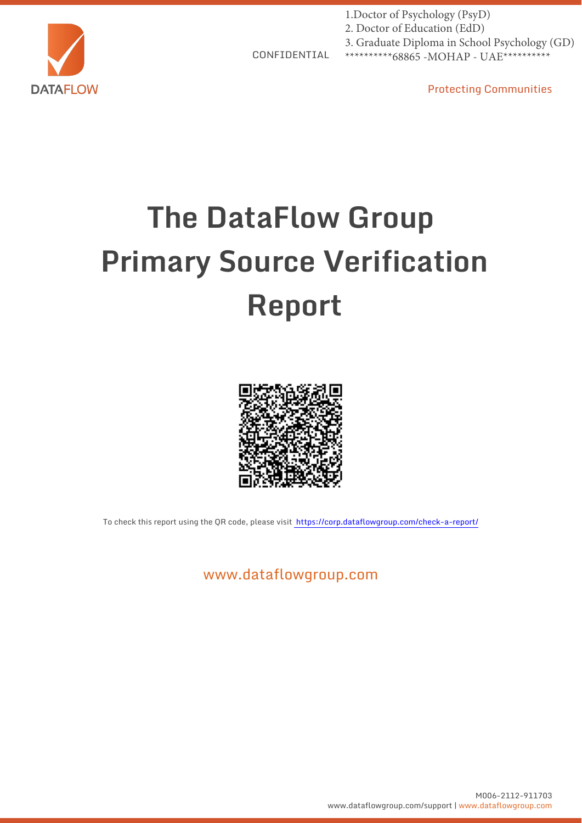

1.Doctor of Psychology (PsyD) 2. Doctor of Education (EdD) 3. Graduate Diploma in School Psychology (GD) \*\*\*\*\*\*\*\*\*\*68865 - MOHAP - UAE\*\*\*\*\*\*\*\*\*\*

CONFIDENTIAL

Protecting Communities

# **The DataFlow Group Primary Source Verification Report**



To check this report using the QR code, please visit https://corp.dataflowgroup.com/check-a-report/

www.dataflowgroup.com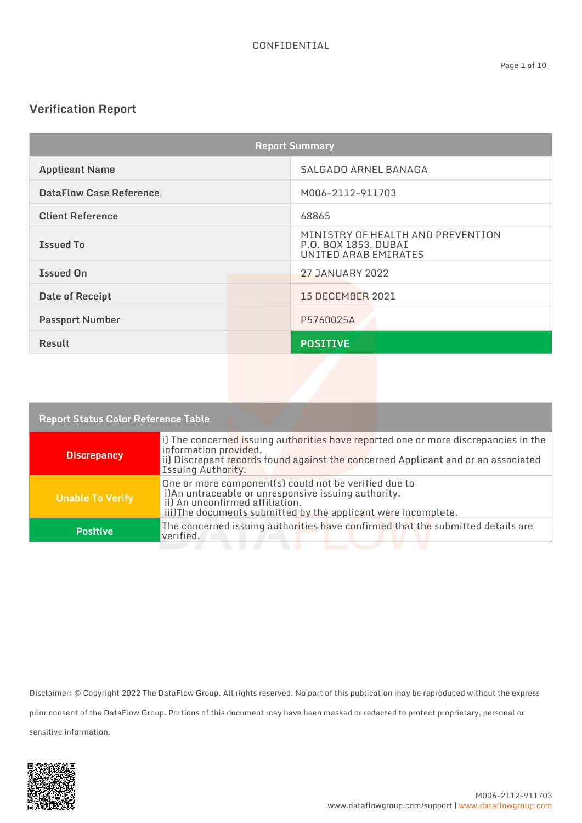## **Verification Report**

| <b>Report Summary</b>          |                                                                                   |
|--------------------------------|-----------------------------------------------------------------------------------|
| <b>Applicant Name</b>          | SALGADO ARNEL BANAGA                                                              |
| <b>DataFlow Case Reference</b> | M006-2112-911703                                                                  |
| <b>Client Reference</b>        | 68865                                                                             |
| <b>Issued To</b>               | MINISTRY OF HEALTH AND PREVENTION<br>P.O. BOX 1853, DUBAI<br>UNITED ARAB EMIRATES |
| <b>Issued On</b>               | <b>27 JANUARY 2022</b>                                                            |
| <b>Date of Receipt</b>         | <b>15 DECEMBER 2021</b>                                                           |
| <b>Passport Number</b>         | P5760025A                                                                         |
| <b>Result</b>                  | <b>POSITIVE</b>                                                                   |
|                                |                                                                                   |

| <b>Report Status Color Reference Table</b> |                                                                                                                                                                                                                         |  |
|--------------------------------------------|-------------------------------------------------------------------------------------------------------------------------------------------------------------------------------------------------------------------------|--|
| <b>Discrepancy</b>                         | i) The concerned issuing authorities have reported one or more discrepancies in the<br>information provided.<br>ii) Discrepant records found against the concerned Applicant and or an associated<br>Issuing Authority. |  |
| <b>Unable To Verify</b>                    | One or more component(s) could not be verified due to<br>i)An untraceable or unresponsive issuing authority.<br>ii) An unconfirmed affiliation.<br>iii)The documents submitted by the applicant were incomplete.        |  |
| <b>Positive</b>                            | The concerned issuing authorities have confirmed that the submitted details are<br>verified.                                                                                                                            |  |
|                                            |                                                                                                                                                                                                                         |  |

Disclaimer: © Copyright 2022 The DataFlow Group. All rights reserved. No part of this publication may be reproduced without the express prior consent of the DataFlow Group. Portions of this document may have been masked or redacted to protect proprietary, personal or sensitive information.

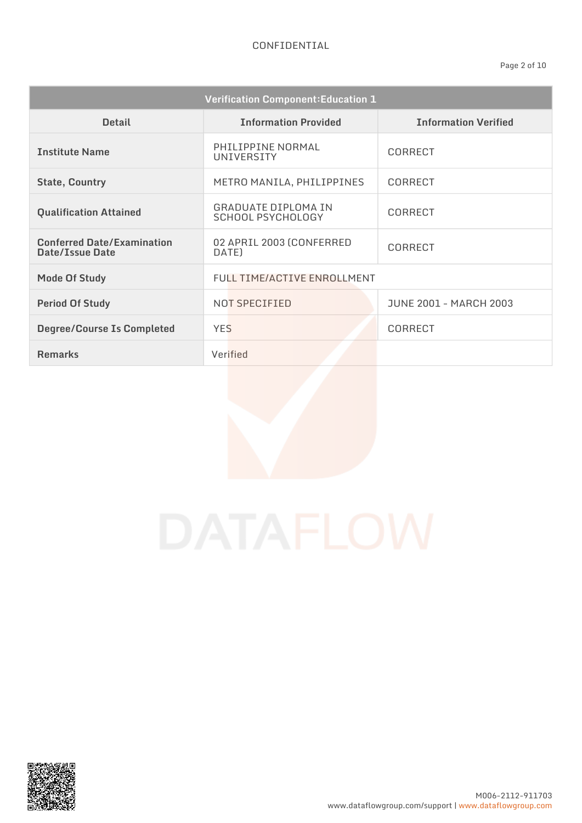| <b>Verification Component: Education 1</b>           |                                                 |                               |
|------------------------------------------------------|-------------------------------------------------|-------------------------------|
| <b>Detail</b>                                        | <b>Information Provided</b>                     | <b>Information Verified</b>   |
| <b>Institute Name</b>                                | PHILIPPINE NORMAL<br>UNIVERSITY                 | <b>CORRECT</b>                |
| <b>State, Country</b>                                | METRO MANILA, PHILIPPINES                       | CORRECT                       |
| <b>Qualification Attained</b>                        | <b>GRADUATE DIPLOMA IN</b><br>SCHOOL PSYCHOLOGY | <b>CORRECT</b>                |
| <b>Conferred Date/Examination</b><br>Date/Issue Date | 02 APRIL 2003 (CONFERRED<br>DATE)               | <b>CORRECT</b>                |
| <b>Mode Of Study</b>                                 | <b>FULL TIME/ACTIVE ENROLLMENT</b>              |                               |
| <b>Period Of Study</b>                               | NOT SPECIFIED                                   | <b>JUNE 2001 - MARCH 2003</b> |
| <b>Degree/Course Is Completed</b>                    | <b>YES</b>                                      | <b>CORRECT</b>                |
| <b>Remarks</b>                                       | Verified                                        |                               |

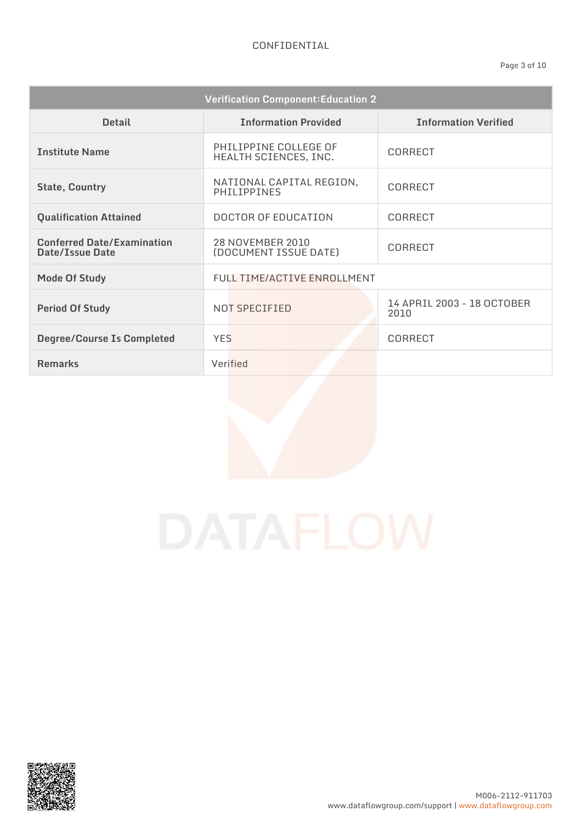| <b>Verification Component: Education 2</b>           |                                                |                                    |
|------------------------------------------------------|------------------------------------------------|------------------------------------|
| <b>Detail</b>                                        | <b>Information Provided</b>                    | <b>Information Verified</b>        |
| <b>Institute Name</b>                                | PHILIPPINE COLLEGE OF<br>HEALTH SCIENCES, INC. | CORRECT                            |
| <b>State, Country</b>                                | NATIONAL CAPITAL REGION,<br><b>PHILIPPINES</b> | CORRECT                            |
| <b>Qualification Attained</b>                        | <b>DOCTOR OF EDUCATION</b>                     | <b>CORRECT</b>                     |
| <b>Conferred Date/Examination</b><br>Date/Issue Date | 28 NOVEMBER 2010<br>(DOCUMENT ISSUE DATE)      | CORRECT                            |
| <b>Mode Of Study</b>                                 | FULL TIME/ACTIVE ENROLLMENT                    |                                    |
| <b>Period Of Study</b>                               | NOT SPECIFIED                                  | 14 APRIL 2003 - 18 OCTOBER<br>2010 |
| <b>Degree/Course Is Completed</b>                    | <b>YES</b>                                     | CORRECT                            |
| <b>Remarks</b>                                       | Verified                                       |                                    |

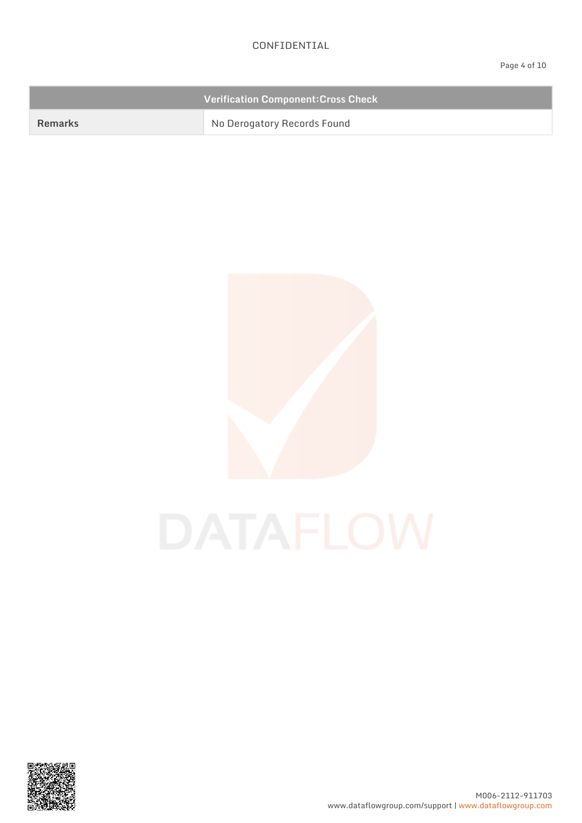|         | <b>Verification Component: Cross Check</b> |
|---------|--------------------------------------------|
| Remarks | No Derogatory Records Found                |





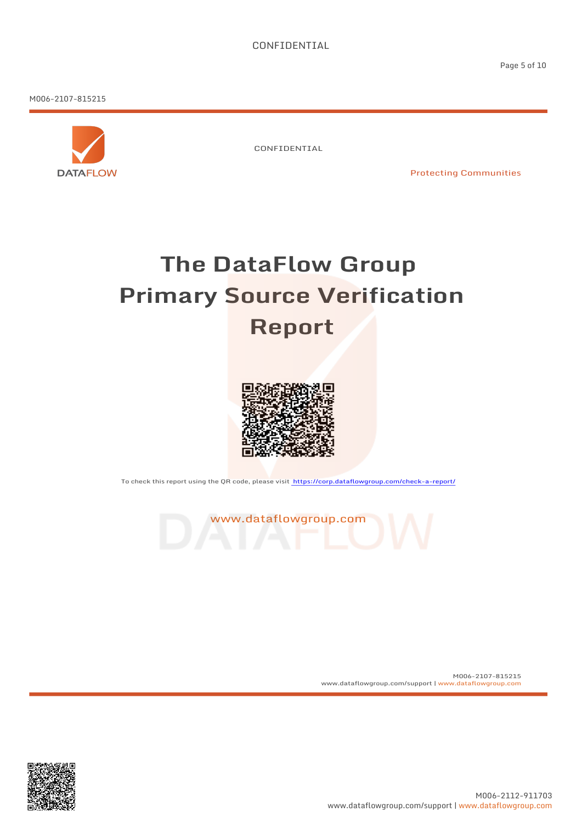M006-2107-815215



CONFIDENTIAL

Protecting Communities

## **The DataFlow Group Primary Source Verification Report**



To check this report using the QR code, please visit https://corp.dataflowgroup.com/check-a-report/



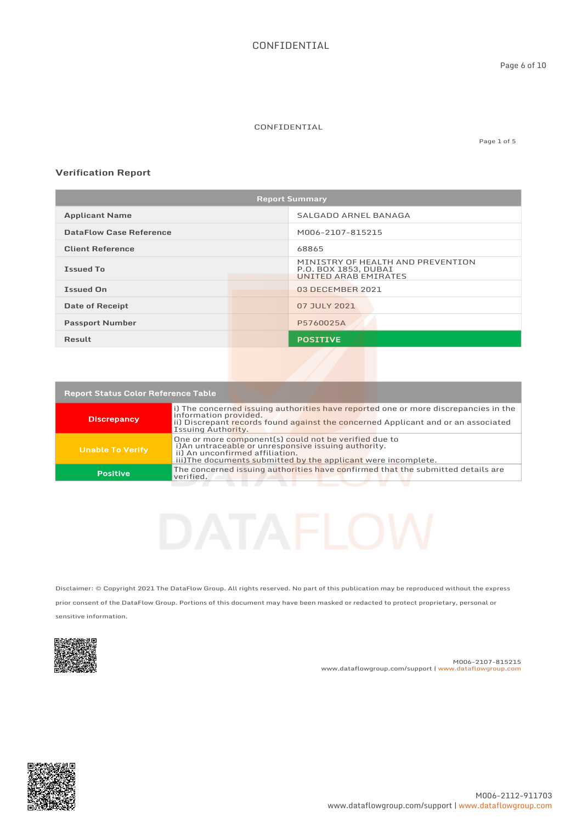Page 1 of 5

#### **Verification Report**

| <b>Report Summary</b>          |                                                                                          |
|--------------------------------|------------------------------------------------------------------------------------------|
| <b>Applicant Name</b>          | SALGADO ARNEL BANAGA                                                                     |
| <b>DataFlow Case Reference</b> | M006-2107-815215                                                                         |
| <b>Client Reference</b>        | 68865                                                                                    |
| <b>Issued To</b>               | MINISTRY OF HEALTH AND PREVENTION<br>P.O. BOX 1853, DUBAI<br><b>UNITED ARAB EMIRATES</b> |
| <b>Issued On</b>               | 03 DECEMBER 2021                                                                         |
| <b>Date of Receipt</b>         | 07 JULY 2021                                                                             |
| <b>Passport Number</b>         | P5760025A                                                                                |
| Result                         | <b>POSITIVE</b>                                                                          |
|                                |                                                                                          |

| <b>Report Status Color Reference Table</b> |                                                                                                                                                                                                                         |
|--------------------------------------------|-------------------------------------------------------------------------------------------------------------------------------------------------------------------------------------------------------------------------|
| <b>Discrepancy</b>                         | i) The concerned issuing authorities have reported one or more discrepancies in the<br>information provided.<br>ii) Discrepant records found against the concerned Applicant and or an associated<br>Issuing Authority. |
| <b>Unable To Verify</b>                    | One or more component(s) could not be verified due to<br>i) An untraceable or unresponsive issuing authority.<br>ii) An unconfirmed affiliation.<br>iii)The documents submitted by the applicant were incomplete.       |
| <b>Positive</b>                            | The concerned issuing authorities have confirmed that the submitted details are<br>verified.                                                                                                                            |
|                                            |                                                                                                                                                                                                                         |

Disclaimer: © Copyright 2021 The DataFlow Group. All rights reserved. No part of this publication may be reproduced without the express prior consent of the DataFlow Group. Portions of this document may have been masked or redacted to protect proprietary, personal or sensitive information.



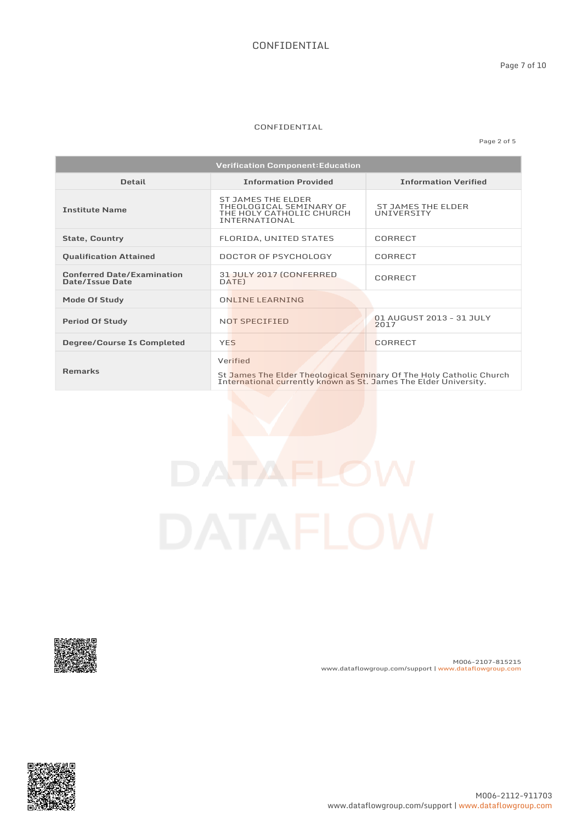#### CONFIDENTIAL

Page 2 of 5

| <b>Verification Component: Education</b>             |                                                                                                                                                     |                                         |
|------------------------------------------------------|-----------------------------------------------------------------------------------------------------------------------------------------------------|-----------------------------------------|
| <b>Detail</b>                                        | <b>Information Provided</b>                                                                                                                         | <b>Information Verified</b>             |
| <b>Institute Name</b>                                | ST JAMES THE ELDER<br>THEOLOGICAL SEMINARY OF<br>THE HOLY CATHOLIC CHURCH<br>INTERNATIONAL                                                          | <b>ST JAMES THE ELDER</b><br>UNIVERSITY |
| <b>State, Country</b>                                | FLORIDA, UNITED STATES                                                                                                                              | CORRECT                                 |
| <b>Qualification Attained</b>                        | DOCTOR OF PSYCHOLOGY                                                                                                                                | CORRECT                                 |
| <b>Conferred Date/Examination</b><br>Date/Issue Date | 31 JULY 2017 (CONFERRED<br>DATE)                                                                                                                    | CORRECT                                 |
| Mode Of Study                                        | <b>ONLINE LEARNING</b>                                                                                                                              |                                         |
| <b>Period Of Study</b>                               | NOT SPECIFIED                                                                                                                                       | 01 AUGUST 2013 - 31 JULY<br>2017        |
| <b>Degree/Course Is Completed</b>                    | <b>YES</b>                                                                                                                                          | <b>CORRECT</b>                          |
| <b>Remarks</b>                                       | Verified<br>St James The Elder Theological Seminary Of The Holy Catholic Church<br>International currently known as St. James The Elder University. |                                         |